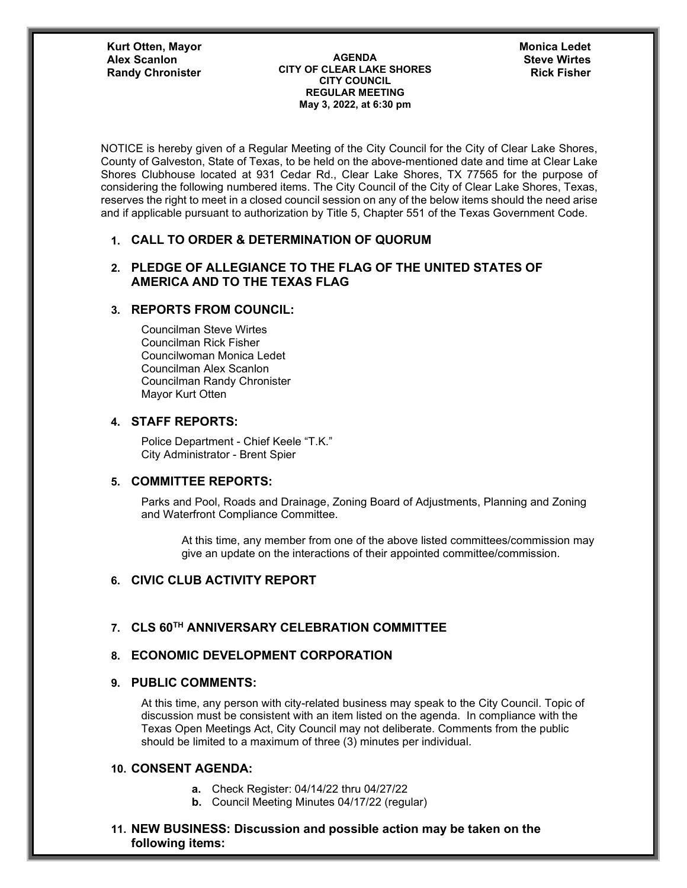**Kurt Otten, Mayor Randy Chronister** 

**AGENDA CITY OF CLEAR LAKE SHORES CITY COUNCIL REGULAR MEETING May 3, 2022, at 6:30 pm Alex Scanlon Steve Wirtes**

**Monica Ledet**

NOTICE is hereby given of a Regular Meeting of the City Council for the City of Clear Lake Shores, County of Galveston, State of Texas, to be held on the above-mentioned date and time at Clear Lake Shores Clubhouse located at 931 Cedar Rd., Clear Lake Shores, TX 77565 for the purpose of considering the following numbered items. The City Council of the City of Clear Lake Shores, Texas, reserves the right to meet in a closed council session on any of the below items should the need arise and if applicable pursuant to authorization by Title 5, Chapter 551 of the Texas Government Code.

#### **1. CALL TO ORDER & DETERMINATION OF QUORUM**

### **2. PLEDGE OF ALLEGIANCE TO THE FLAG OF THE UNITED STATES OF AMERICA AND TO THE TEXAS FLAG**

## **3. REPORTS FROM COUNCIL:**

Councilman Steve Wirtes Councilman Rick Fisher Councilwoman Monica Ledet Councilman Alex Scanlon Councilman Randy Chronister Mayor Kurt Otten

#### **4. STAFF REPORTS:**

Police Department - Chief Keele "T.K." City Administrator - Brent Spier

### **5. COMMITTEE REPORTS:**

Parks and Pool, Roads and Drainage, Zoning Board of Adjustments, Planning and Zoning and Waterfront Compliance Committee.

At this time, any member from one of the above listed committees/commission may give an update on the interactions of their appointed committee/commission.

# **6. CIVIC CLUB ACTIVITY REPORT**

## **7. CLS 60TH ANNIVERSARY CELEBRATION COMMITTEE**

#### **8. ECONOMIC DEVELOPMENT CORPORATION**

#### **9. PUBLIC COMMENTS:**

At this time, any person with city-related business may speak to the City Council. Topic of discussion must be consistent with an item listed on the agenda. In compliance with the Texas Open Meetings Act, City Council may not deliberate. Comments from the public should be limited to a maximum of three (3) minutes per individual.

#### **10. CONSENT AGENDA:**

- **a.** Check Register: 04/14/22 thru 04/27/22
- **b.** Council Meeting Minutes 04/17/22 (regular)

### **11. NEW BUSINESS: Discussion and possible action may be taken on the following items:**